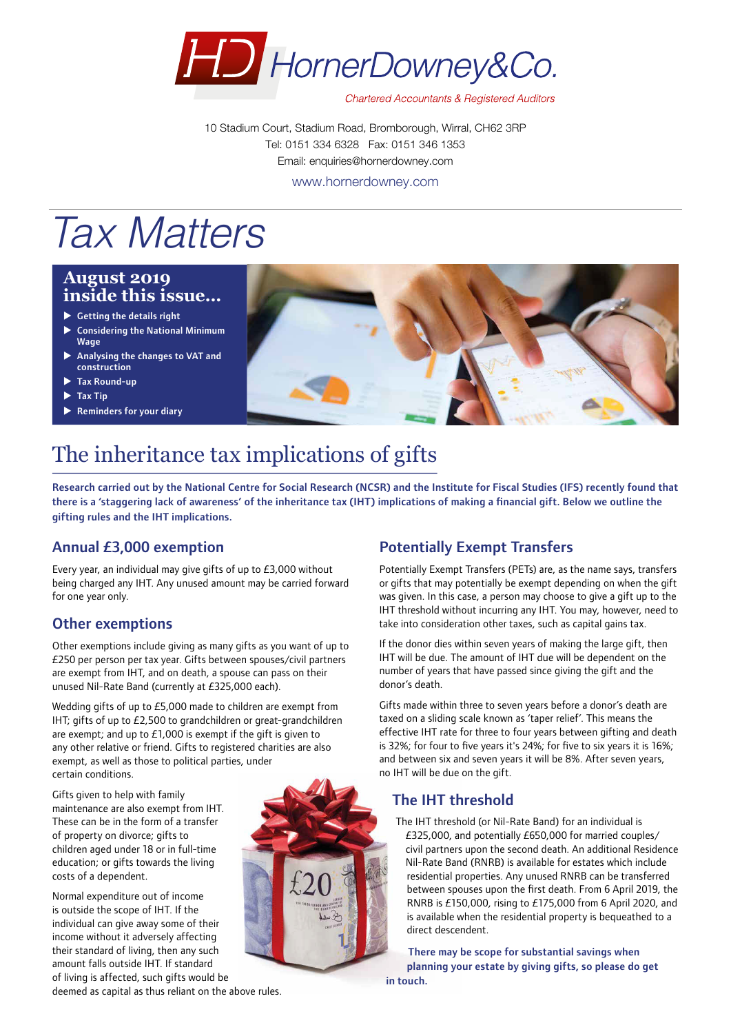

**Chartered Accountants & Registered Auditors** 

10 Stadium Court, Stadium Road, Bromborough, Wirral, CH62 3RP Tel: 0151 334 6328 Fax: 0151 346 1353 Email: enquiries@hornerdowney.com www.hornerdowney.com

# *Tax Matters*

## **August 2019 inside this issue…**

- $\blacktriangleright$  Getting the details right
- $\triangleright$  Considering the National Minimum Wage
- Analysing the changes to VAT and construction
- Tax Round-up
- **Tax Tip**
- Reminders for your diary



# The inheritance tax implications of gifts

Research carried out by the National Centre for Social Research (NCSR) and the Institute for Fiscal Studies (IFS) recently found that there is a 'staggering lack of awareness' of the inheritance tax (IHT) implications of making a financial gift. Below we outline the gifting rules and the IHT implications.

# Annual £3,000 exemption

Every year, an individual may give gifts of up to £3,000 without being charged any IHT. Any unused amount may be carried forward for one year only.

# Other exemptions

Other exemptions include giving as many gifts as you want of up to £250 per person per tax year. Gifts between spouses/civil partners are exempt from IHT, and on death, a spouse can pass on their unused Nil-Rate Band (currently at £325,000 each).

Wedding gifts of up to £5,000 made to children are exempt from IHT; gifts of up to £2,500 to grandchildren or great-grandchildren are exempt; and up to £1,000 is exempt if the gift is given to any other relative or friend. Gifts to registered charities are also exempt, as well as those to political parties, under certain conditions.

Gifts given to help with family maintenance are also exempt from IHT. These can be in the form of a transfer of property on divorce; gifts to children aged under 18 or in full-time education; or gifts towards the living costs of a dependent.

Normal expenditure out of income is outside the scope of IHT. If the individual can give away some of their income without it adversely affecting their standard of living, then any such amount falls outside IHT. If standard of living is affected, such gifts would be



# Potentially Exempt Transfers

Potentially Exempt Transfers (PETs) are, as the name says, transfers or gifts that may potentially be exempt depending on when the gift was given. In this case, a person may choose to give a gift up to the IHT threshold without incurring any IHT. You may, however, need to take into consideration other taxes, such as capital gains tax.

If the donor dies within seven years of making the large gift, then IHT will be due. The amount of IHT due will be dependent on the number of years that have passed since giving the gift and the donor's death.

Gifts made within three to seven years before a donor's death are taxed on a sliding scale known as 'taper relief'. This means the effective IHT rate for three to four years between gifting and death is 32%; for four to five years it's 24%; for five to six years it is 16%; and between six and seven years it will be 8%. After seven years, no IHT will be due on the gift.

# The IHT threshold

The IHT threshold (or Nil-Rate Band) for an individual is £325,000, and potentially £650,000 for married couples/ civil partners upon the second death. An additional Residence Nil-Rate Band (RNRB) is available for estates which include residential properties. Any unused RNRB can be transferred between spouses upon the first death. From 6 April 2019, the RNRB is £150,000, rising to £175,000 from 6 April 2020, and is available when the residential property is bequeathed to a direct descendent.

There may be scope for substantial savings when planning your estate by giving gifts, so please do get in touch.

deemed as capital as thus reliant on the above rules.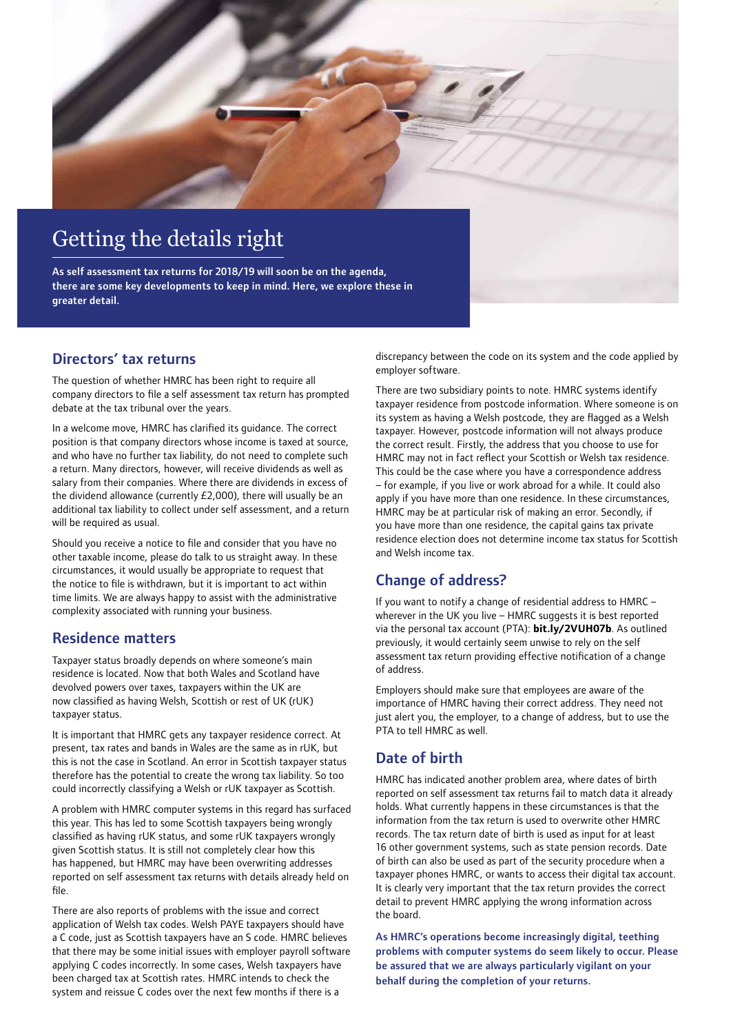

### Directors' tax returns

The question of whether HMRC has been right to require all company directors to file a self assessment tax return has prompted debate at the tax tribunal over the years.

In a welcome move, HMRC has clarified its guidance. The correct position is that company directors whose income is taxed at source, and who have no further tax liability, do not need to complete such a return. Many directors, however, will receive dividends as well as salary from their companies. Where there are dividends in excess of the dividend allowance (currently £2,000), there will usually be an additional tax liability to collect under self assessment, and a return will be required as usual.

Should you receive a notice to file and consider that you have no other taxable income, please do talk to us straight away. In these circumstances, it would usually be appropriate to request that the notice to file is withdrawn, but it is important to act within time limits. We are always happy to assist with the administrative complexity associated with running your business.

### Residence matters

Taxpayer status broadly depends on where someone's main residence is located. Now that both Wales and Scotland have devolved powers over taxes, taxpayers within the UK are now classified as having Welsh, Scottish or rest of UK (rUK) taxpayer status.

It is important that HMRC gets any taxpayer residence correct. At present, tax rates and bands in Wales are the same as in rUK, but this is not the case in Scotland. An error in Scottish taxpayer status therefore has the potential to create the wrong tax liability. So too could incorrectly classifying a Welsh or rUK taxpayer as Scottish.

A problem with HMRC computer systems in this regard has surfaced this year. This has led to some Scottish taxpayers being wrongly classified as having rUK status, and some rUK taxpayers wrongly given Scottish status. It is still not completely clear how this has happened, but HMRC may have been overwriting addresses reported on self assessment tax returns with details already held on file.

There are also reports of problems with the issue and correct application of Welsh tax codes. Welsh PAYE taxpayers should have a C code, just as Scottish taxpayers have an S code. HMRC believes that there may be some initial issues with employer payroll software applying C codes incorrectly. In some cases, Welsh taxpayers have been charged tax at Scottish rates. HMRC intends to check the system and reissue C codes over the next few months if there is a

discrepancy between the code on its system and the code applied by employer software.

There are two subsidiary points to note. HMRC systems identify taxpayer residence from postcode information. Where someone is on its system as having a Welsh postcode, they are flagged as a Welsh taxpayer. However, postcode information will not always produce the correct result. Firstly, the address that you choose to use for HMRC may not in fact reflect your Scottish or Welsh tax residence. This could be the case where you have a correspondence address – for example, if you live or work abroad for a while. It could also apply if you have more than one residence. In these circumstances, HMRC may be at particular risk of making an error. Secondly, if you have more than one residence, the capital gains tax private residence election does not determine income tax status for Scottish and Welsh income tax.

# Change of address?

If you want to notify a change of residential address to HMRC – wherever in the UK you live – HMRC suggests it is best reported via the personal tax account (PTA): **[bit.ly/2VUH07b](https://www.gov.uk/tell-hmrc-change-address)**. As outlined previously, it would certainly seem unwise to rely on the self assessment tax return providing effective notification of a change of address.

Employers should make sure that employees are aware of the importance of HMRC having their correct address. They need not just alert you, the employer, to a change of address, but to use the PTA to tell HMRC as well.

# Date of birth

HMRC has indicated another problem area, where dates of birth reported on self assessment tax returns fail to match data it already holds. What currently happens in these circumstances is that the information from the tax return is used to overwrite other HMRC records. The tax return date of birth is used as input for at least 16 other government systems, such as state pension records. Date of birth can also be used as part of the security procedure when a taxpayer phones HMRC, or wants to access their digital tax account. It is clearly very important that the tax return provides the correct detail to prevent HMRC applying the wrong information across the board.

As HMRC's operations become increasingly digital, teething problems with computer systems do seem likely to occur. Please be assured that we are always particularly vigilant on your behalf during the completion of your returns.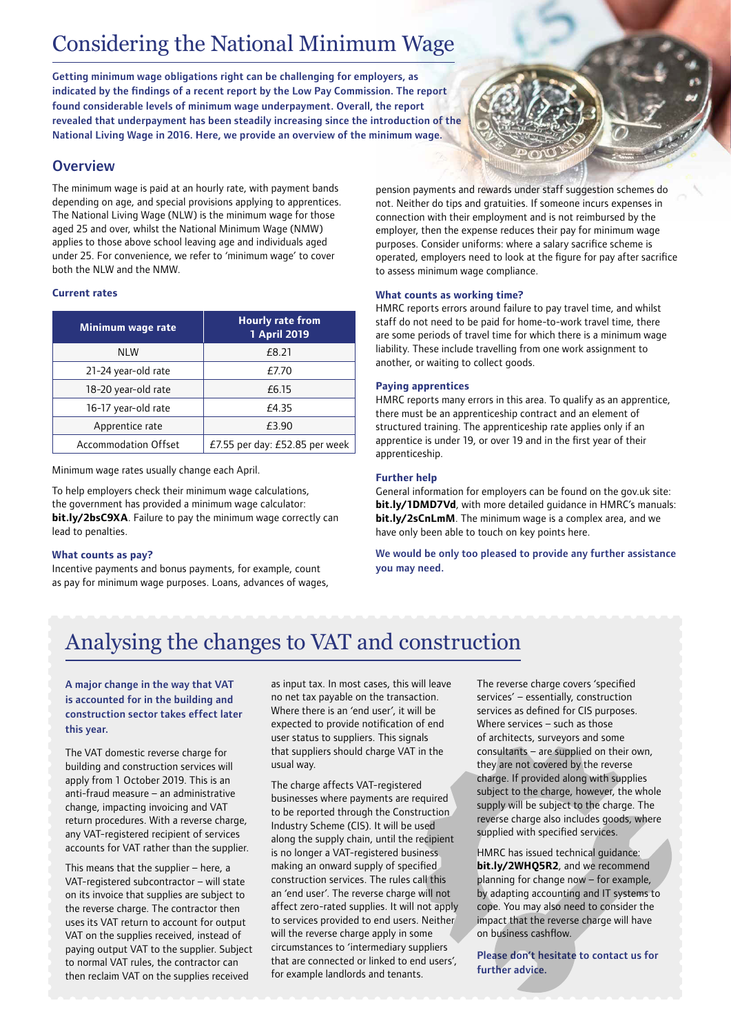# Considering the National Minimum Wage

Getting minimum wage obligations right can be challenging for employers, as indicated by the findings of a recent report by the Low Pay Commission. The report found considerable levels of minimum wage underpayment. Overall, the report revealed that underpayment has been steadily increasing since the introduction of the National Living Wage in 2016. Here, we provide an overview of the minimum wage.

## **Overview**

The minimum wage is paid at an hourly rate, with payment bands depending on age, and special provisions applying to apprentices. The National Living Wage (NLW) is the minimum wage for those aged 25 and over, whilst the National Minimum Wage (NMW) applies to those above school leaving age and individuals aged under 25. For convenience, we refer to 'minimum wage' to cover both the NLW and the NMW.

#### **Current rates**

| Minimum wage rate           | <b>Hourly rate from</b><br>1 April 2019 |
|-----------------------------|-----------------------------------------|
| <b>NLW</b>                  | £8.21                                   |
| 21-24 year-old rate         | <i>F</i> 7.70                           |
| 18-20 year-old rate         | £6.15                                   |
| 16-17 year-old rate         | £4.35                                   |
| Apprentice rate             | £3.90                                   |
| <b>Accommodation Offset</b> | £7.55 per day: £52.85 per week          |

Minimum wage rates usually change each April.

To help employers check their minimum wage calculations, the government has provided a minimum wage calculator: **[bit.ly/2bsC9XA](https://www.gov.uk/minimum-wage-calculator-employers)**. Failure to pay the minimum wage correctly can lead to penalties.

#### **What counts as pay?**

Incentive payments and bonus payments, for example, count as pay for minimum wage purposes. Loans, advances of wages, pension payments and rewards under staff suggestion schemes do not. Neither do tips and gratuities. If someone incurs expenses in connection with their employment and is not reimbursed by the employer, then the expense reduces their pay for minimum wage purposes. Consider uniforms: where a salary sacrifice scheme is operated, employers need to look at the figure for pay after sacrifice to assess minimum wage compliance.

#### **What counts as working time?**

HMRC reports errors around failure to pay travel time, and whilst staff do not need to be paid for home-to-work travel time, there are some periods of travel time for which there is a minimum wage liability. These include travelling from one work assignment to another, or waiting to collect goods.

#### **Paying apprentices**

HMRC reports many errors in this area. To qualify as an apprentice, there must be an apprenticeship contract and an element of structured training. The apprenticeship rate applies only if an apprentice is under 19, or over 19 and in the first year of their apprenticeship.

#### **Further help**

General information for employers can be found on the gov.uk site: **[bit.ly/1DMD7Vd](https://www.gov.uk/national-minimum-wage)**, with more detailed quidance in HMRC's manuals: **[bit.ly/2sCnLmM](https://www.gov.uk/hmrc-internal-manuals/national-minimum-wage-manual)**. The minimum wage is a complex area, and we have only been able to touch on key points here.

We would be only too pleased to provide any further assistance you may need.

# Analysing the changes to VAT and construction

#### A major change in the way that VAT is accounted for in the building and construction sector takes effect later this year.

The VAT domestic reverse charge for building and construction services will apply from 1 October 2019. This is an anti-fraud measure – an administrative change, impacting invoicing and VAT return procedures. With a reverse charge, any VAT-registered recipient of services accounts for VAT rather than the supplier.

This means that the supplier – here, a VAT-registered subcontractor – will state on its invoice that supplies are subject to the reverse charge. The contractor then uses its VAT return to account for output VAT on the supplies received, instead of paying output VAT to the supplier. Subject to normal VAT rules, the contractor can then reclaim VAT on the supplies received

as input tax. In most cases, this will leave no net tax payable on the transaction. Where there is an 'end user', it will be expected to provide notification of end user status to suppliers. This signals that suppliers should charge VAT in the usual way.

The charge affects VAT-registered businesses where payments are required to be reported through the Construction Industry Scheme (CIS). It will be used along the supply chain, until the recipient is no longer a VAT-registered business making an onward supply of specified construction services. The rules call this an 'end user'. The reverse charge will not affect zero-rated supplies. It will not apply to services provided to end users. Neither will the reverse charge apply in some circumstances to 'intermediary suppliers that are connected or linked to end users', for example landlords and tenants.

The reverse charge covers 'specified services' – essentially, construction services as defined for CIS purposes. Where services – such as those of architects, surveyors and some consultants – are supplied on their own, they are not covered by the reverse charge. If provided along with supplies subject to the charge, however, the whole supply will be subject to the charge. The reverse charge also includes goods, where supplied with specified services.

HMRC has issued technical guidance: **[bit.ly/2WHQ5R2](https://www.gov.uk/guidance/vat-domestic-reverse-charge-for-building-and-construction-services)**, and we recommend planning for change now – for example, by adapting accounting and IT systems to cope. You may also need to consider the impact that the reverse charge will have on business cashflow.

Please don't hesitate to contact us for further advice.